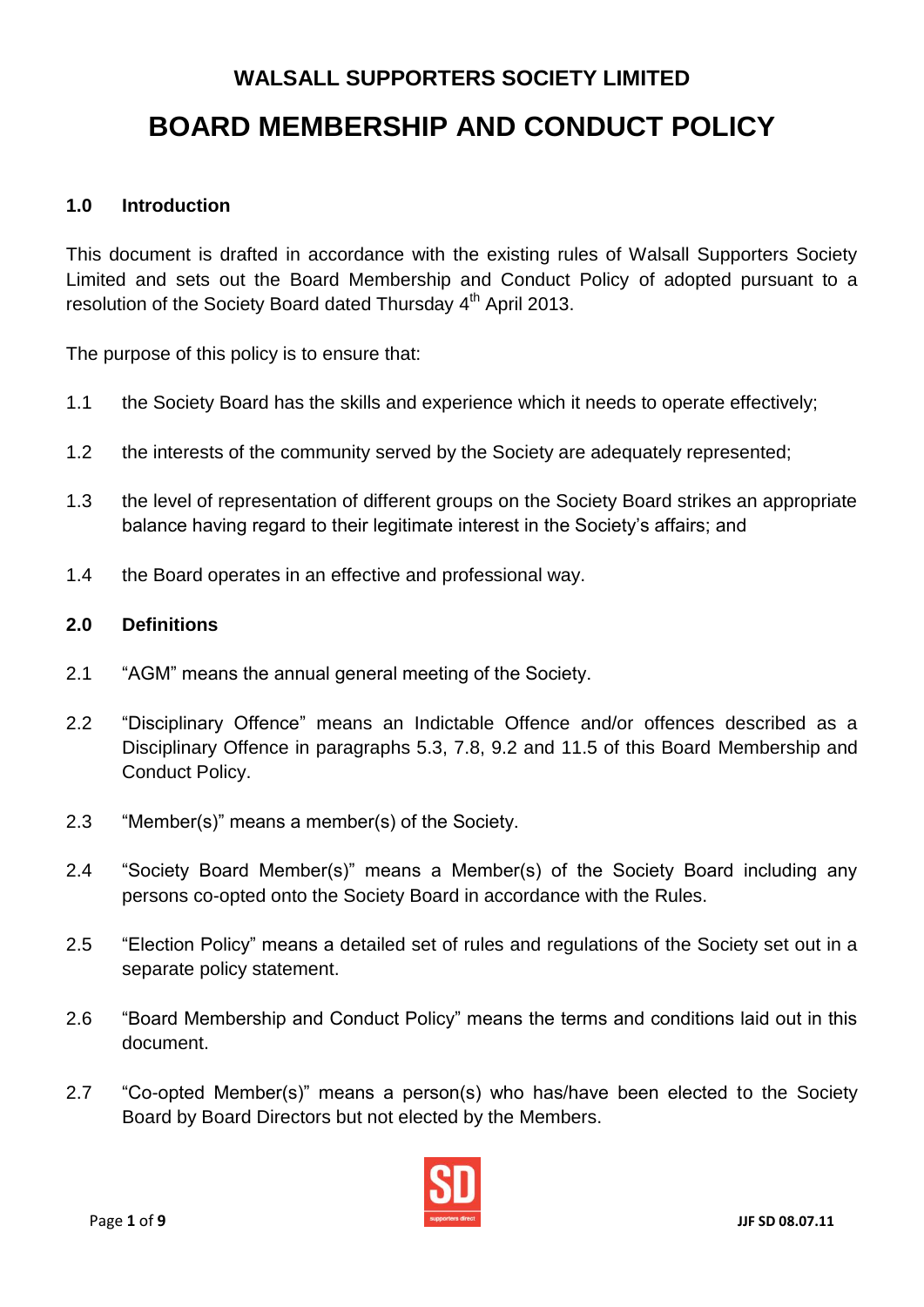# **WALSALL SUPPORTERS SOCIETY LIMITED BOARD MEMBERSHIP AND CONDUCT POLICY**

# **1.0 Introduction**

This document is drafted in accordance with the existing rules of Walsall Supporters Society Limited and sets out the Board Membership and Conduct Policy of adopted pursuant to a resolution of the Society Board dated Thursday 4<sup>th</sup> April 2013.

The purpose of this policy is to ensure that:

- 1.1 the Society Board has the skills and experience which it needs to operate effectively;
- 1.2 the interests of the community served by the Society are adequately represented;
- 1.3 the level of representation of different groups on the Society Board strikes an appropriate balance having regard to their legitimate interest in the Society's affairs; and
- 1.4 the Board operates in an effective and professional way.

#### **2.0 Definitions**

- 2.1 "AGM" means the annual general meeting of the Society.
- 2.2 "Disciplinary Offence" means an Indictable Offence and/or offences described as a Disciplinary Offence in paragraphs 5.3, 7.8, 9.2 and 11.5 of this Board Membership and Conduct Policy.
- 2.3 "Member(s)" means a member(s) of the Society.
- 2.4 "Society Board Member(s)" means a Member(s) of the Society Board including any persons co-opted onto the Society Board in accordance with the Rules.
- 2.5 "Election Policy" means a detailed set of rules and regulations of the Society set out in a separate policy statement.
- 2.6 "Board Membership and Conduct Policy" means the terms and conditions laid out in this document.
- 2.7 "Co-opted Member(s)" means a person(s) who has/have been elected to the Society Board by Board Directors but not elected by the Members.

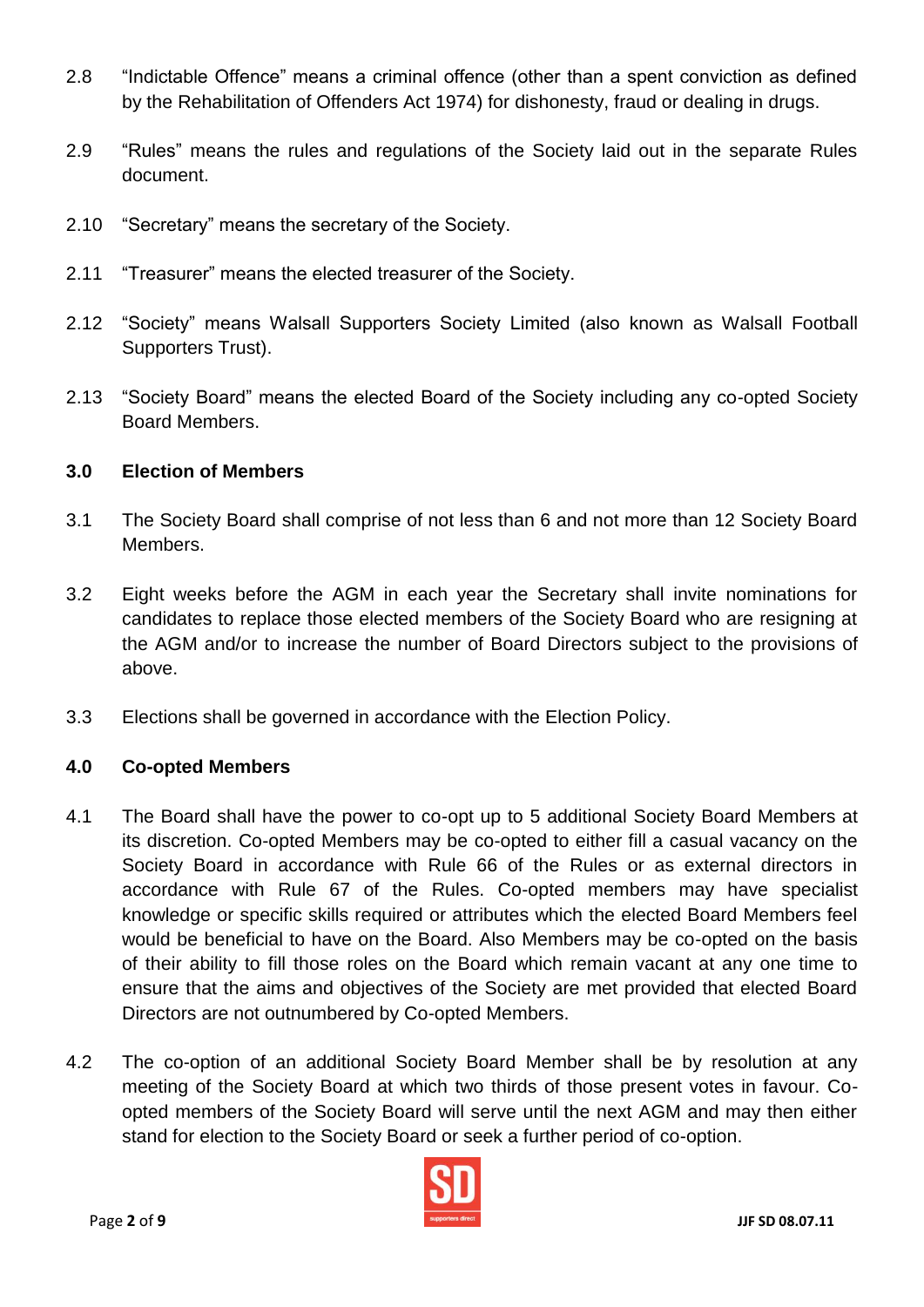- 2.8 "Indictable Offence" means a criminal offence (other than a spent conviction as defined by the Rehabilitation of Offenders Act 1974) for dishonesty, fraud or dealing in drugs.
- 2.9 "Rules" means the rules and regulations of the Society laid out in the separate Rules document.
- 2.10 "Secretary" means the secretary of the Society.
- 2.11 "Treasurer" means the elected treasurer of the Society.
- 2.12 "Society" means Walsall Supporters Society Limited (also known as Walsall Football Supporters Trust).
- 2.13 "Society Board" means the elected Board of the Society including any co-opted Society Board Members.

#### **3.0 Election of Members**

- 3.1 The Society Board shall comprise of not less than 6 and not more than 12 Society Board Members.
- 3.2 Eight weeks before the AGM in each year the Secretary shall invite nominations for candidates to replace those elected members of the Society Board who are resigning at the AGM and/or to increase the number of Board Directors subject to the provisions of above.
- 3.3 Elections shall be governed in accordance with the Election Policy.

#### **4.0 Co-opted Members**

- 4.1 The Board shall have the power to co-opt up to 5 additional Society Board Members at its discretion. Co-opted Members may be co-opted to either fill a casual vacancy on the Society Board in accordance with Rule 66 of the Rules or as external directors in accordance with Rule 67 of the Rules. Co-opted members may have specialist knowledge or specific skills required or attributes which the elected Board Members feel would be beneficial to have on the Board. Also Members may be co-opted on the basis of their ability to fill those roles on the Board which remain vacant at any one time to ensure that the aims and objectives of the Society are met provided that elected Board Directors are not outnumbered by Co-opted Members.
- 4.2 The co-option of an additional Society Board Member shall be by resolution at any meeting of the Society Board at which two thirds of those present votes in favour. Coopted members of the Society Board will serve until the next AGM and may then either stand for election to the Society Board or seek a further period of co-option.

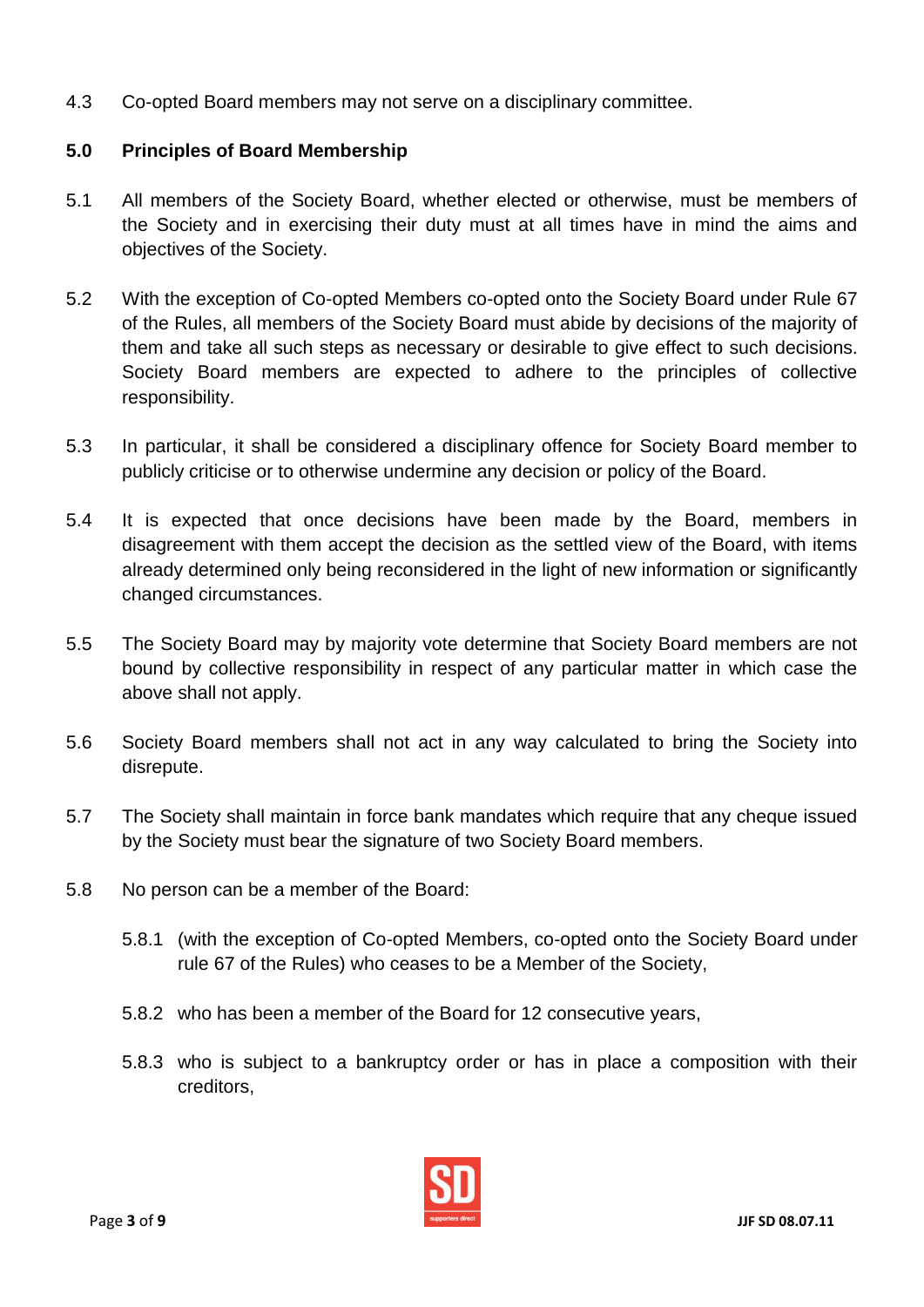4.3 Co-opted Board members may not serve on a disciplinary committee.

# **5.0 Principles of Board Membership**

- 5.1 All members of the Society Board, whether elected or otherwise, must be members of the Society and in exercising their duty must at all times have in mind the aims and objectives of the Society.
- 5.2 With the exception of Co-opted Members co-opted onto the Society Board under Rule 67 of the Rules, all members of the Society Board must abide by decisions of the majority of them and take all such steps as necessary or desirable to give effect to such decisions. Society Board members are expected to adhere to the principles of collective responsibility.
- 5.3 In particular, it shall be considered a disciplinary offence for Society Board member to publicly criticise or to otherwise undermine any decision or policy of the Board.
- 5.4 It is expected that once decisions have been made by the Board, members in disagreement with them accept the decision as the settled view of the Board, with items already determined only being reconsidered in the light of new information or significantly changed circumstances.
- 5.5 The Society Board may by majority vote determine that Society Board members are not bound by collective responsibility in respect of any particular matter in which case the above shall not apply.
- 5.6 Society Board members shall not act in any way calculated to bring the Society into disrepute.
- 5.7 The Society shall maintain in force bank mandates which require that any cheque issued by the Society must bear the signature of two Society Board members.
- 5.8 No person can be a member of the Board:
	- 5.8.1 (with the exception of Co-opted Members, co-opted onto the Society Board under rule 67 of the Rules) who ceases to be a Member of the Society,
	- 5.8.2 who has been a member of the Board for 12 consecutive years,
	- 5.8.3 who is subject to a bankruptcy order or has in place a composition with their creditors,

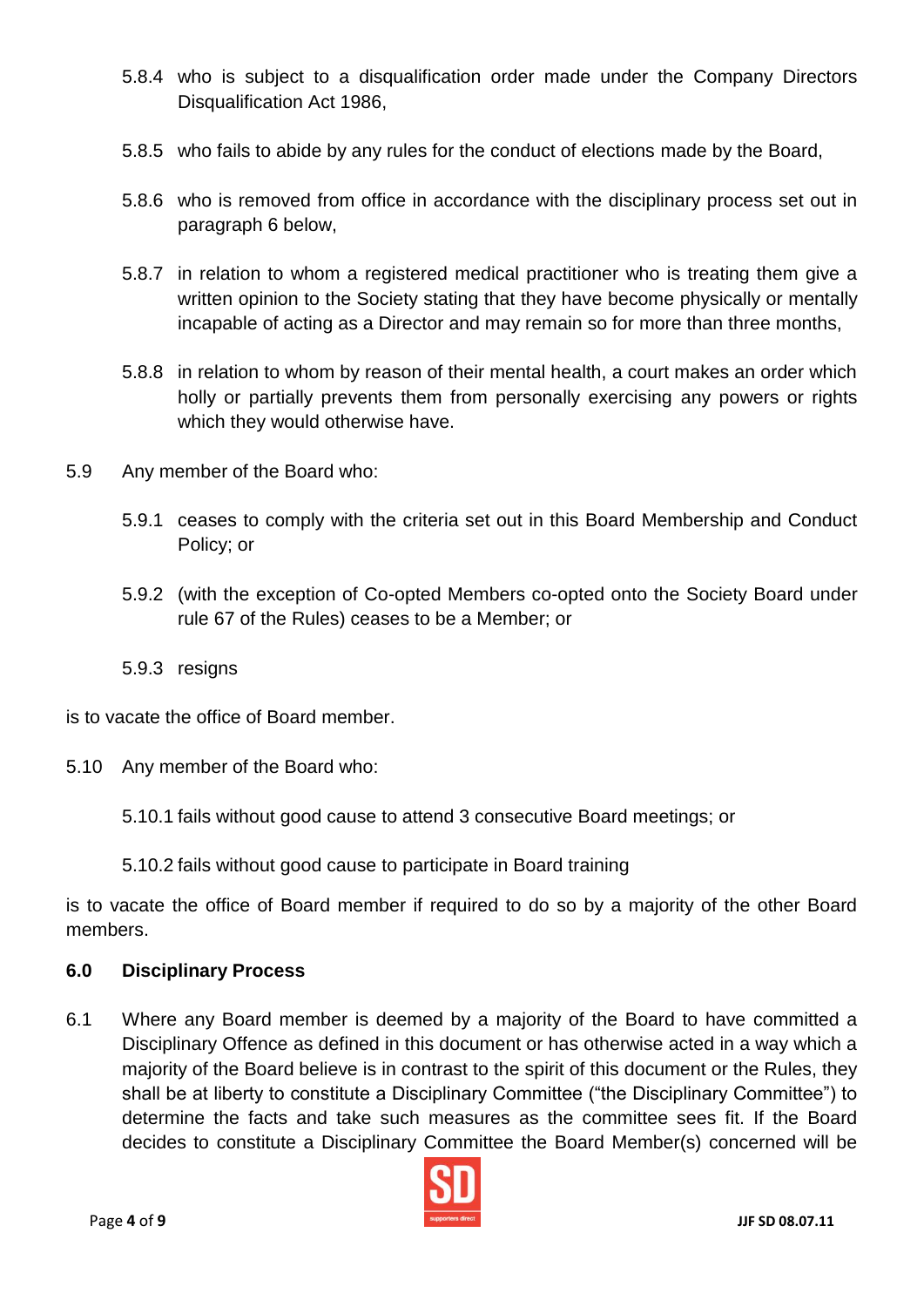- 5.8.4 who is subject to a disqualification order made under the Company Directors Disqualification Act 1986,
- 5.8.5 who fails to abide by any rules for the conduct of elections made by the Board,
- 5.8.6 who is removed from office in accordance with the disciplinary process set out in paragraph 6 below,
- 5.8.7 in relation to whom a registered medical practitioner who is treating them give a written opinion to the Society stating that they have become physically or mentally incapable of acting as a Director and may remain so for more than three months,
- 5.8.8 in relation to whom by reason of their mental health, a court makes an order which holly or partially prevents them from personally exercising any powers or rights which they would otherwise have.
- 5.9 Any member of the Board who:
	- 5.9.1 ceases to comply with the criteria set out in this Board Membership and Conduct Policy; or
	- 5.9.2 (with the exception of Co-opted Members co-opted onto the Society Board under rule 67 of the Rules) ceases to be a Member; or
	- 5.9.3 resigns

is to vacate the office of Board member.

- 5.10 Any member of the Board who:
	- 5.10.1 fails without good cause to attend 3 consecutive Board meetings; or
	- 5.10.2 fails without good cause to participate in Board training

is to vacate the office of Board member if required to do so by a majority of the other Board members.

#### **6.0 Disciplinary Process**

6.1 Where any Board member is deemed by a majority of the Board to have committed a Disciplinary Offence as defined in this document or has otherwise acted in a way which a majority of the Board believe is in contrast to the spirit of this document or the Rules, they shall be at liberty to constitute a Disciplinary Committee ("the Disciplinary Committee") to determine the facts and take such measures as the committee sees fit. If the Board decides to constitute a Disciplinary Committee the Board Member(s) concerned will be

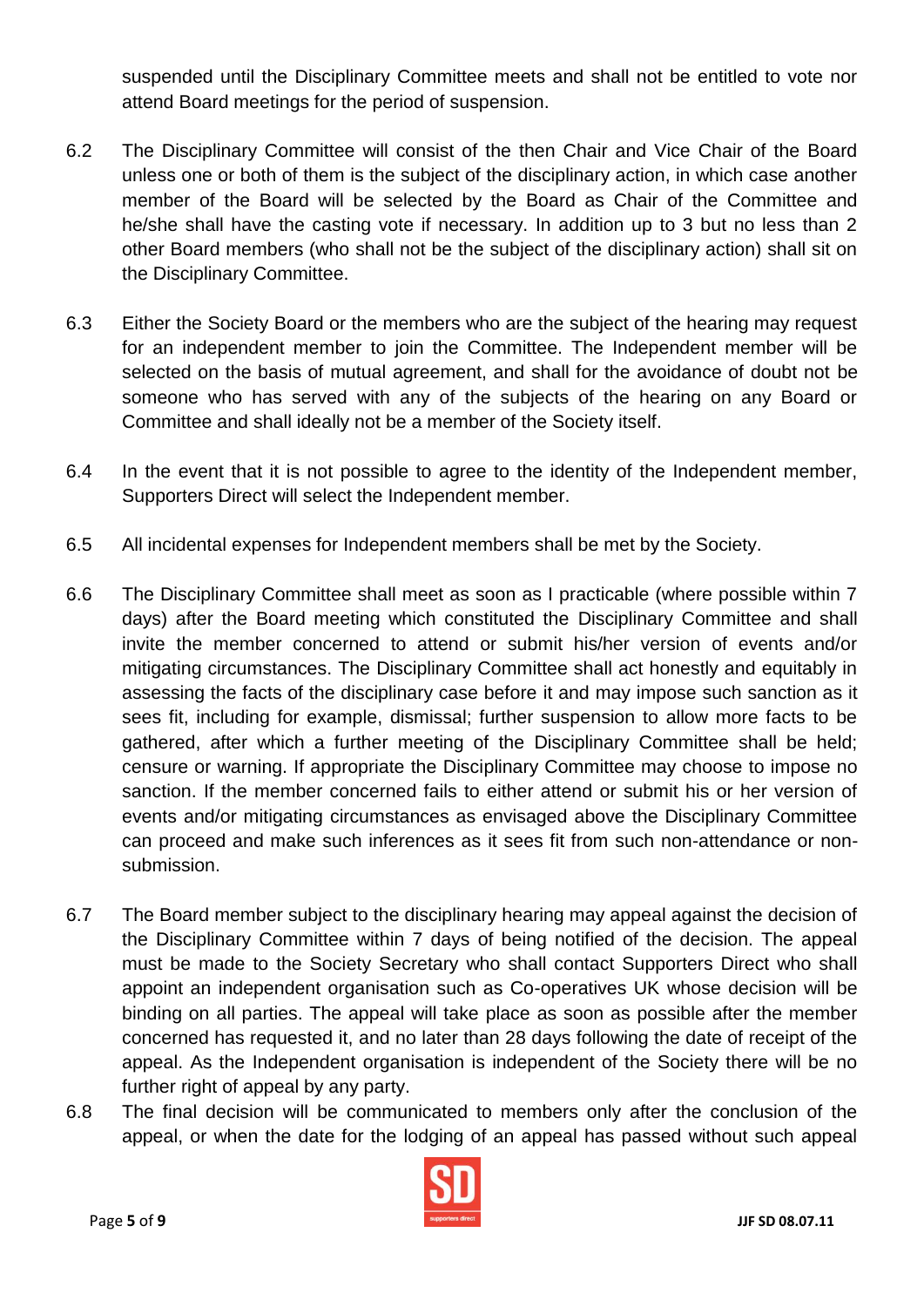suspended until the Disciplinary Committee meets and shall not be entitled to vote nor attend Board meetings for the period of suspension.

- 6.2 The Disciplinary Committee will consist of the then Chair and Vice Chair of the Board unless one or both of them is the subject of the disciplinary action, in which case another member of the Board will be selected by the Board as Chair of the Committee and he/she shall have the casting vote if necessary. In addition up to 3 but no less than 2 other Board members (who shall not be the subject of the disciplinary action) shall sit on the Disciplinary Committee.
- 6.3 Either the Society Board or the members who are the subject of the hearing may request for an independent member to join the Committee. The Independent member will be selected on the basis of mutual agreement, and shall for the avoidance of doubt not be someone who has served with any of the subjects of the hearing on any Board or Committee and shall ideally not be a member of the Society itself.
- 6.4 In the event that it is not possible to agree to the identity of the Independent member, Supporters Direct will select the Independent member.
- 6.5 All incidental expenses for Independent members shall be met by the Society.
- 6.6 The Disciplinary Committee shall meet as soon as I practicable (where possible within 7 days) after the Board meeting which constituted the Disciplinary Committee and shall invite the member concerned to attend or submit his/her version of events and/or mitigating circumstances. The Disciplinary Committee shall act honestly and equitably in assessing the facts of the disciplinary case before it and may impose such sanction as it sees fit, including for example, dismissal; further suspension to allow more facts to be gathered, after which a further meeting of the Disciplinary Committee shall be held; censure or warning. If appropriate the Disciplinary Committee may choose to impose no sanction. If the member concerned fails to either attend or submit his or her version of events and/or mitigating circumstances as envisaged above the Disciplinary Committee can proceed and make such inferences as it sees fit from such non-attendance or nonsubmission.
- 6.7 The Board member subject to the disciplinary hearing may appeal against the decision of the Disciplinary Committee within 7 days of being notified of the decision. The appeal must be made to the Society Secretary who shall contact Supporters Direct who shall appoint an independent organisation such as Co-operatives UK whose decision will be binding on all parties. The appeal will take place as soon as possible after the member concerned has requested it, and no later than 28 days following the date of receipt of the appeal. As the Independent organisation is independent of the Society there will be no further right of appeal by any party.
- 6.8 The final decision will be communicated to members only after the conclusion of the appeal, or when the date for the lodging of an appeal has passed without such appeal

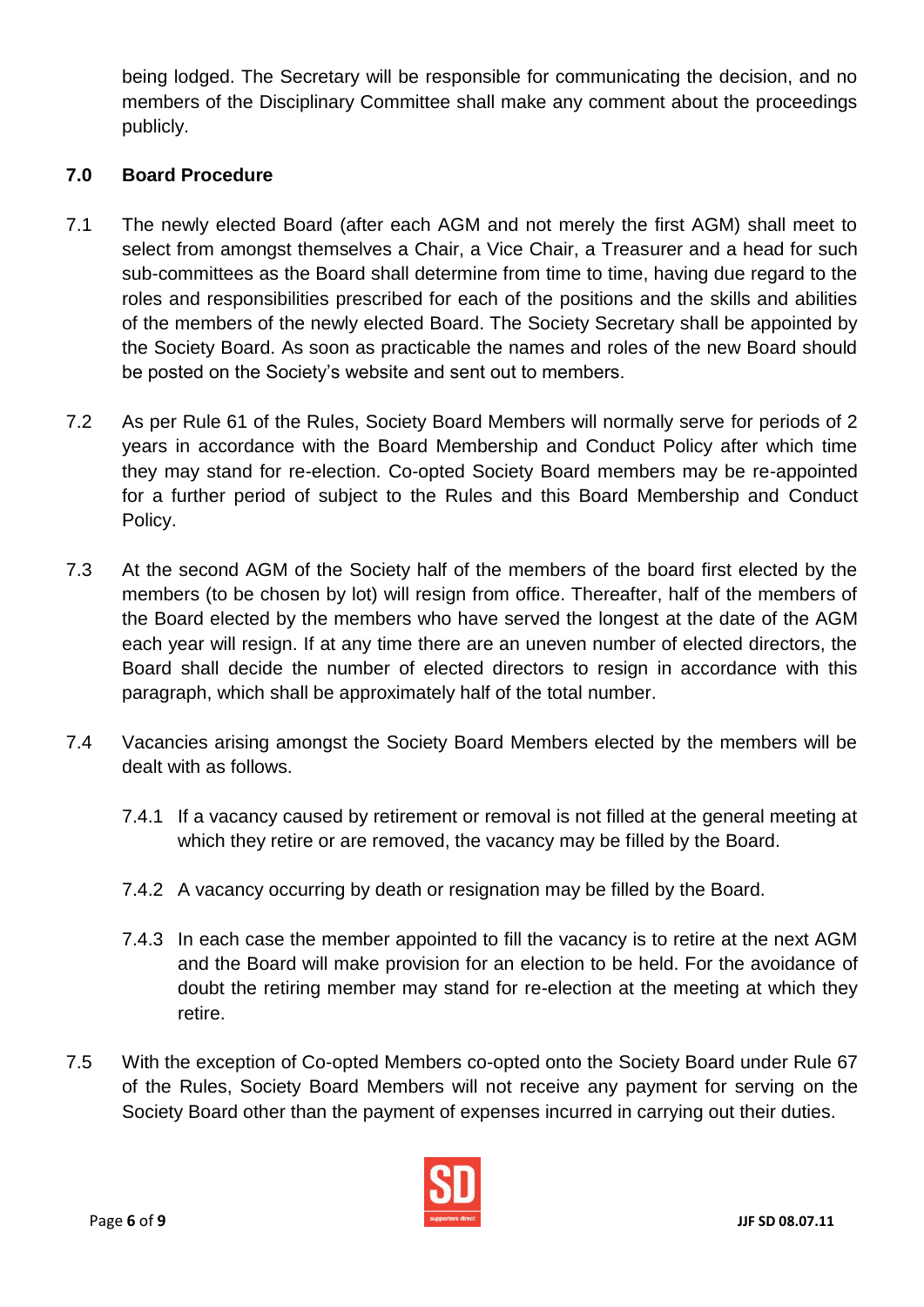being lodged. The Secretary will be responsible for communicating the decision, and no members of the Disciplinary Committee shall make any comment about the proceedings publicly.

# **7.0 Board Procedure**

- 7.1 The newly elected Board (after each AGM and not merely the first AGM) shall meet to select from amongst themselves a Chair, a Vice Chair, a Treasurer and a head for such sub-committees as the Board shall determine from time to time, having due regard to the roles and responsibilities prescribed for each of the positions and the skills and abilities of the members of the newly elected Board. The Society Secretary shall be appointed by the Society Board. As soon as practicable the names and roles of the new Board should be posted on the Society's website and sent out to members.
- 7.2 As per Rule 61 of the Rules, Society Board Members will normally serve for periods of 2 years in accordance with the Board Membership and Conduct Policy after which time they may stand for re-election. Co-opted Society Board members may be re-appointed for a further period of subject to the Rules and this Board Membership and Conduct Policy.
- 7.3 At the second AGM of the Society half of the members of the board first elected by the members (to be chosen by lot) will resign from office. Thereafter, half of the members of the Board elected by the members who have served the longest at the date of the AGM each year will resign. If at any time there are an uneven number of elected directors, the Board shall decide the number of elected directors to resign in accordance with this paragraph, which shall be approximately half of the total number.
- 7.4 Vacancies arising amongst the Society Board Members elected by the members will be dealt with as follows.
	- 7.4.1 If a vacancy caused by retirement or removal is not filled at the general meeting at which they retire or are removed, the vacancy may be filled by the Board.
	- 7.4.2 A vacancy occurring by death or resignation may be filled by the Board.
	- 7.4.3 In each case the member appointed to fill the vacancy is to retire at the next AGM and the Board will make provision for an election to be held. For the avoidance of doubt the retiring member may stand for re-election at the meeting at which they retire.
- 7.5 With the exception of Co-opted Members co-opted onto the Society Board under Rule 67 of the Rules, Society Board Members will not receive any payment for serving on the Society Board other than the payment of expenses incurred in carrying out their duties.

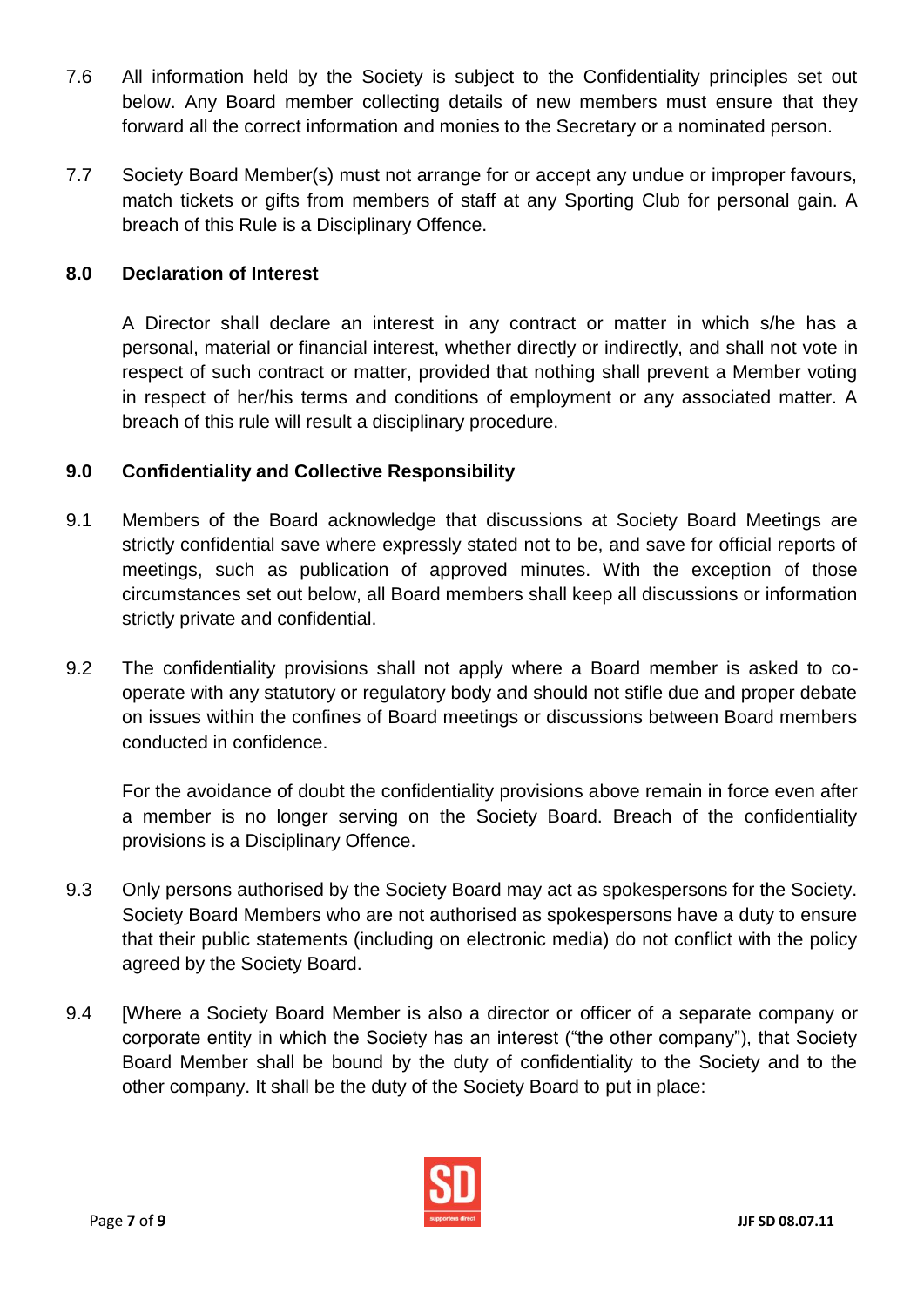- 7.6 All information held by the Society is subject to the Confidentiality principles set out below. Any Board member collecting details of new members must ensure that they forward all the correct information and monies to the Secretary or a nominated person.
- 7.7 Society Board Member(s) must not arrange for or accept any undue or improper favours, match tickets or gifts from members of staff at any Sporting Club for personal gain. A breach of this Rule is a Disciplinary Offence.

# **8.0 Declaration of Interest**

A Director shall declare an interest in any contract or matter in which s/he has a personal, material or financial interest, whether directly or indirectly, and shall not vote in respect of such contract or matter, provided that nothing shall prevent a Member voting in respect of her/his terms and conditions of employment or any associated matter. A breach of this rule will result a disciplinary procedure.

# **9.0 Confidentiality and Collective Responsibility**

- 9.1 Members of the Board acknowledge that discussions at Society Board Meetings are strictly confidential save where expressly stated not to be, and save for official reports of meetings, such as publication of approved minutes. With the exception of those circumstances set out below, all Board members shall keep all discussions or information strictly private and confidential.
- 9.2 The confidentiality provisions shall not apply where a Board member is asked to cooperate with any statutory or regulatory body and should not stifle due and proper debate on issues within the confines of Board meetings or discussions between Board members conducted in confidence.

For the avoidance of doubt the confidentiality provisions above remain in force even after a member is no longer serving on the Society Board. Breach of the confidentiality provisions is a Disciplinary Offence.

- 9.3 Only persons authorised by the Society Board may act as spokespersons for the Society. Society Board Members who are not authorised as spokespersons have a duty to ensure that their public statements (including on electronic media) do not conflict with the policy agreed by the Society Board.
- 9.4 [Where a Society Board Member is also a director or officer of a separate company or corporate entity in which the Society has an interest ("the other company"), that Society Board Member shall be bound by the duty of confidentiality to the Society and to the other company. It shall be the duty of the Society Board to put in place:

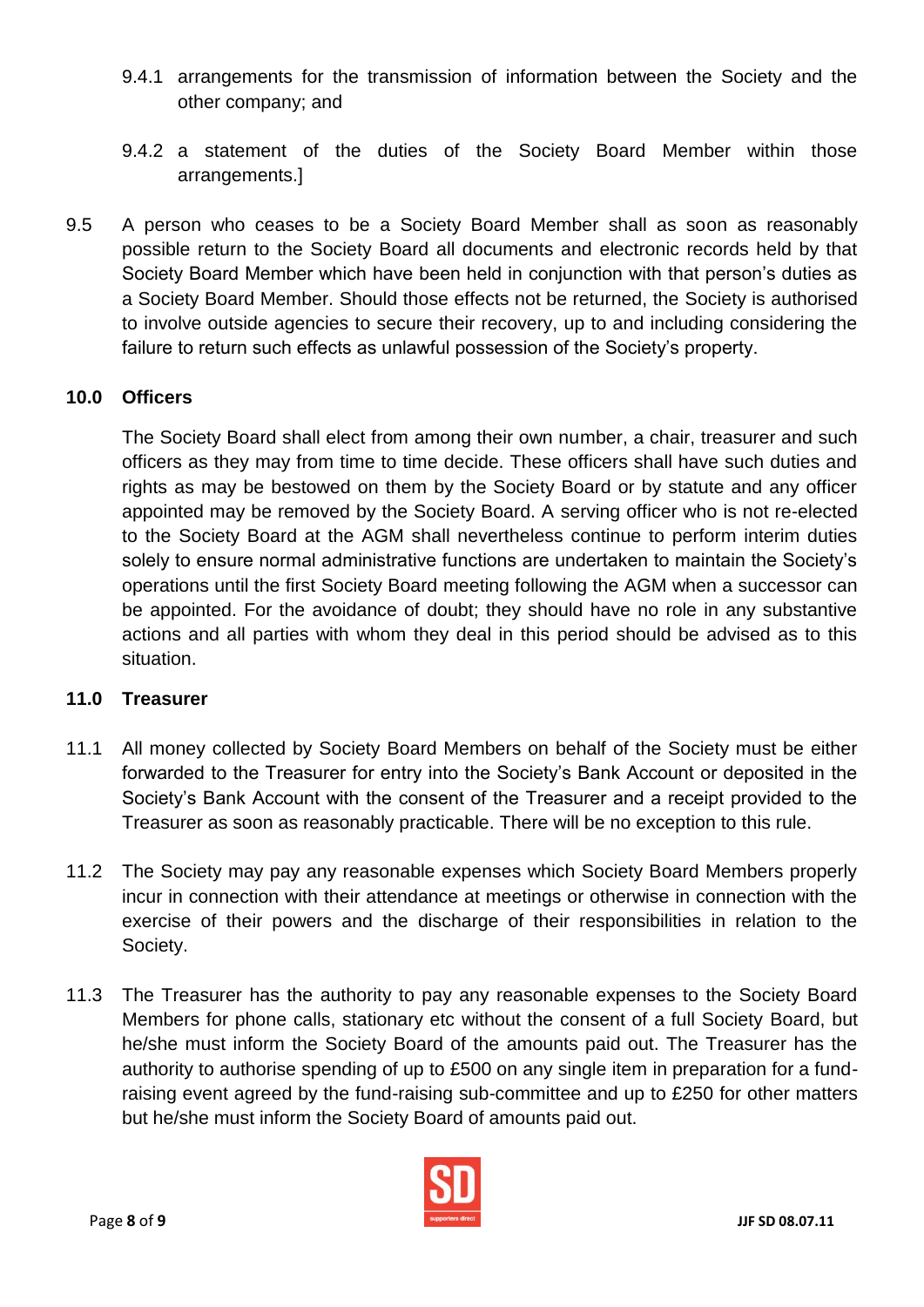- 9.4.1 arrangements for the transmission of information between the Society and the other company; and
- 9.4.2 a statement of the duties of the Society Board Member within those arrangements.]
- 9.5 A person who ceases to be a Society Board Member shall as soon as reasonably possible return to the Society Board all documents and electronic records held by that Society Board Member which have been held in conjunction with that person's duties as a Society Board Member. Should those effects not be returned, the Society is authorised to involve outside agencies to secure their recovery, up to and including considering the failure to return such effects as unlawful possession of the Society's property.

# **10.0 Officers**

The Society Board shall elect from among their own number, a chair, treasurer and such officers as they may from time to time decide. These officers shall have such duties and rights as may be bestowed on them by the Society Board or by statute and any officer appointed may be removed by the Society Board. A serving officer who is not re-elected to the Society Board at the AGM shall nevertheless continue to perform interim duties solely to ensure normal administrative functions are undertaken to maintain the Society's operations until the first Society Board meeting following the AGM when a successor can be appointed. For the avoidance of doubt; they should have no role in any substantive actions and all parties with whom they deal in this period should be advised as to this situation.

#### **11.0 Treasurer**

- 11.1 All money collected by Society Board Members on behalf of the Society must be either forwarded to the Treasurer for entry into the Society's Bank Account or deposited in the Society's Bank Account with the consent of the Treasurer and a receipt provided to the Treasurer as soon as reasonably practicable. There will be no exception to this rule.
- 11.2 The Society may pay any reasonable expenses which Society Board Members properly incur in connection with their attendance at meetings or otherwise in connection with the exercise of their powers and the discharge of their responsibilities in relation to the Society.
- 11.3 The Treasurer has the authority to pay any reasonable expenses to the Society Board Members for phone calls, stationary etc without the consent of a full Society Board, but he/she must inform the Society Board of the amounts paid out. The Treasurer has the authority to authorise spending of up to £500 on any single item in preparation for a fundraising event agreed by the fund-raising sub-committee and up to £250 for other matters but he/she must inform the Society Board of amounts paid out.